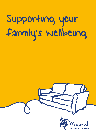# Supporting your family's wellbeing

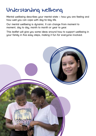## Understanding wellbeing

Mental wellbeing describes your mental state – how you are feeling and how well you can cope with day-to-day life.

Our mental wellbeing is dynamic. It can change from moment to moment, day to day, month to month or year to year.

This leaflet will give you some ideas around how to support wellbeing in your family in five easy steps, making it fun for everyone involved.

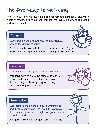## The five ways to wellbeing

The five ways to wellbeing have been researched thoroughly, and there is lots of evidence to show that they can improve our ability to feel good and function well.

#### **Connect**

**…with people around you, your family, friends, colleagues and neighbours.** 

Put five minutes aside to find out how a member of your family really is. Spend time strengthening those relationships.

#### **Be active**

**…by doing something you can all enjoy together.** 

You don't have to go to the gum to be active. Take a walk, spend some time gardening or do an activity such as cucling, or having a kick about in your local park.

#### **Take notice**

**…by being more aware of your surroundings and what is happening right now, for example the changing seasons, or sights on your way to school or work.** 

Ask your child what was good about their day.